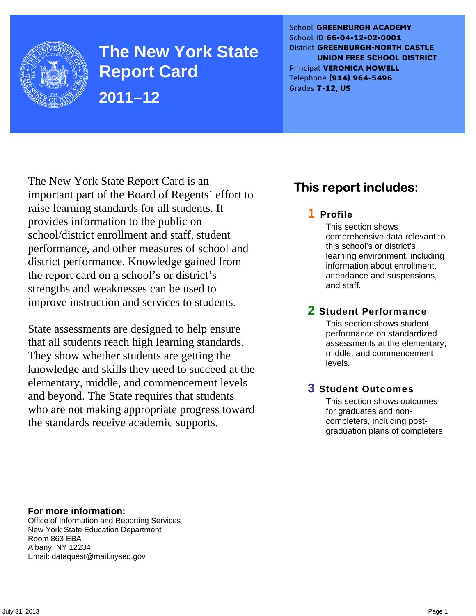

**The New York State Report Card 2011–12** 

School **GREENBURGH ACADEMY** School ID **66-04-12-02-0001** District **GREENBURGH-NORTH CASTLE UNION FREE SCHOOL DISTRICT** Principal **VERONICA HOWELL** Telephone **(914) 964-5496** Grades **7-12, US**

The New York State Report Card is an important part of the Board of Regents' effort to raise learning standards for all students. It provides information to the public on school/district enrollment and staff, student performance, and other measures of school and district performance. Knowledge gained from the report card on a school's or district's strengths and weaknesses can be used to improve instruction and services to students.

State assessments are designed to help ensure that all students reach high learning standards. They show whether students are getting the knowledge and skills they need to succeed at the elementary, middle, and commencement levels and beyond. The State requires that students who are not making appropriate progress toward the standards receive academic supports.

## **This report includes:**

### 1 Profile

This section shows comprehensive data relevant to this school's or district's learning environment, including information about enrollment, attendance and suspensions, and staff.

### 2 Student Performance

This section shows student performance on standardized assessments at the elementary, middle, and commencement levels.

### 3 Student Outcomes

This section shows outcomes for graduates and noncompleters, including postgraduation plans of completers.

**For more information:**  Office of Information and Reporting Services New York State Education Department Room 863 EBA Albany, NY 12234

Email: dataquest@mail.nysed.gov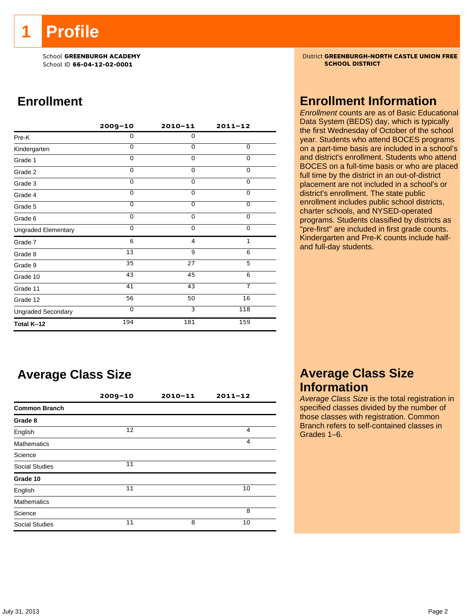**1 Profile** 

School ID 66-04-12-02-0001

## **Enrollment**

|                            | $2009 - 10$ | $2010 - 11$    | $2011 - 12$    |
|----------------------------|-------------|----------------|----------------|
| Pre-K                      | 0           | $\mathbf 0$    |                |
| Kindergarten               | $\Omega$    | $\Omega$       | 0              |
| Grade 1                    | $\Omega$    | $\Omega$       | 0              |
| Grade 2                    | 0           | 0              | 0              |
| Grade 3                    | $\Omega$    | $\mathbf 0$    | 0              |
| Grade 4                    | $\Omega$    | $\mathbf 0$    | $\overline{0}$ |
| Grade 5                    | $\Omega$    | $\overline{0}$ | $\overline{0}$ |
| Grade 6                    | $\Omega$    | $\Omega$       | 0              |
| <b>Ungraded Elementary</b> | $\Omega$    | $\Omega$       | 0              |
| Grade 7                    | 6           | 4              | $\mathbf{1}$   |
| Grade 8                    | 13          | 9              | 6              |
| Grade 9                    | 35          | 27             | 5              |
| Grade 10                   | 43          | 45             | 6              |
| Grade 11                   | 41          | 43             | $\overline{7}$ |
| Grade 12                   | 56          | 50             | 16             |
| <b>Ungraded Secondary</b>  | $\Omega$    | $\overline{3}$ | 118            |
| Total K-12                 | 194         | 181            | 159            |

## **Average Class Size**

|                       | $2009 - 10$ | $2010 - 11$ | $2011 - 12$ |  |
|-----------------------|-------------|-------------|-------------|--|
| <b>Common Branch</b>  |             |             |             |  |
| Grade 8               |             |             |             |  |
| English               | 12          |             | 4           |  |
| <b>Mathematics</b>    |             |             | 4           |  |
| Science               |             |             |             |  |
| <b>Social Studies</b> | 11          |             |             |  |
| Grade 10              |             |             |             |  |
| English               | 11          |             | 10          |  |
| <b>Mathematics</b>    |             |             |             |  |
| Science               |             |             | 8           |  |
| <b>Social Studies</b> | 11          | 8           | 10          |  |

School **GREENBURGH ACADEMY** District **GREENBURGH-NORTH CASTLE UNION FREE**<br>School ID 66-04-12-02-0001

### **Enrollment Information**

*Enrollment* counts are as of Basic Educational Data System (BEDS) day, which is typically the first Wednesday of October of the school year. Students who attend BOCES programs on a part-time basis are included in a school's and district's enrollment. Students who attend BOCES on a full-time basis or who are placed full time by the district in an out-of-district placement are not included in a school's or district's enrollment. The state public enrollment includes public school districts, charter schools, and NYSED-operated programs. Students classified by districts as "pre-first" are included in first grade counts. Kindergarten and Pre-K counts include halfand full-day students.

### **Average Class Size Information**

*Average Class Size* is the total registration in specified classes divided by the number of those classes with registration. Common Branch refers to self-contained classes in Grades 1–6.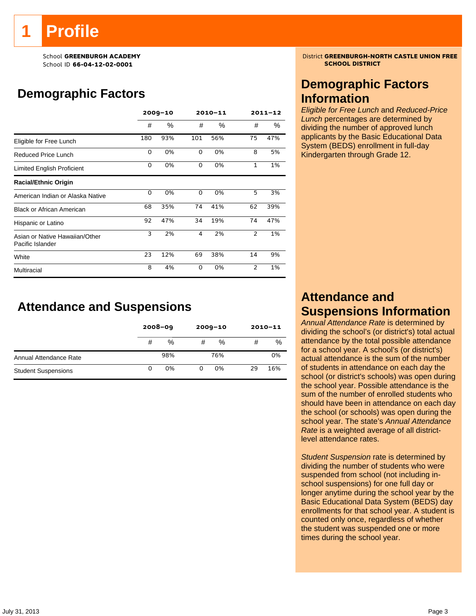# **Profile**

School ID 66-04-12-02-0001

## **Demographic Factors**

|                                                    | $2009 - 10$ |      | 2010-11  |     | $2011 - 12$    |     |
|----------------------------------------------------|-------------|------|----------|-----|----------------|-----|
|                                                    | #           | $\%$ | #        | %   | #              | %   |
| Eligible for Free Lunch                            | 180         | 93%  | 101      | 56% | 75             | 47% |
| Reduced Price Lunch                                | 0           | 0%   | $\Omega$ | 0%  | 8              | 5%  |
| Limited English Proficient                         | 0           | 0%   | 0        | 0%  | $\mathbf{1}$   | 1%  |
| <b>Racial/Ethnic Origin</b>                        |             |      |          |     |                |     |
| American Indian or Alaska Native                   | 0           | 0%   | 0        | 0%  | 5              | 3%  |
| <b>Black or African American</b>                   | 68          | 35%  | 74       | 41% | 62             | 39% |
| Hispanic or Latino                                 | 92          | 47%  | 34       | 19% | 74             | 47% |
| Asian or Native Hawaiian/Other<br>Pacific Islander | 3           | 2%   | 4        | 2%  | 2              | 1%  |
| White                                              | 23          | 12%  | 69       | 38% | 14             | 9%  |
| Multiracial                                        | 8           | 4%   | $\Omega$ | 0%  | $\mathfrak{p}$ | 1%  |

## **Attendance and Suspensions**

|                            |   | $2008 - 09$ |   | $2009 - 10$ |    | $2010 - 11$ |  |
|----------------------------|---|-------------|---|-------------|----|-------------|--|
|                            | # | %           | # | $\%$        | #  | %           |  |
| Annual Attendance Rate     |   | 98%         |   | 76%         |    | 0%          |  |
| <b>Student Suspensions</b> | 0 | 0%          | 0 | 0%          | 29 | 16%         |  |

School **GREENBURGH ACADEMY** District **GREENBURGH-NORTH CASTLE UNION FREE**<br>School ID 66-04-12-02-0001

## **Demographic Factors Information**

*Eligible for Free Lunch* and *Reduced-Price Lunch* percentages are determined by dividing the number of approved lunch applicants by the Basic Educational Data System (BEDS) enrollment in full-day Kindergarten through Grade 12.

## **Attendance and Suspensions Information**

*Annual Attendance Rate* is determined by dividing the school's (or district's) total actual attendance by the total possible attendance for a school year. A school's (or district's) actual attendance is the sum of the number of students in attendance on each day the school (or district's schools) was open during the school year. Possible attendance is the sum of the number of enrolled students who should have been in attendance on each day the school (or schools) was open during the school year. The state's *Annual Attendance Rate* is a weighted average of all districtlevel attendance rates.

*Student Suspension* rate is determined by dividing the number of students who were suspended from school (not including inschool suspensions) for one full day or longer anytime during the school year by the Basic Educational Data System (BEDS) day enrollments for that school year. A student is counted only once, regardless of whether the student was suspended one or more times during the school year.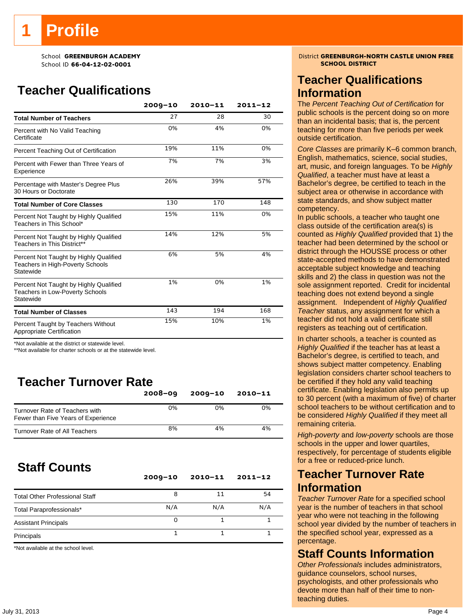School ID 66-04-12-02-0001

## **Teacher Qualifications**

|                                                                                               | $2009 - 10$ | $2010 - 11$ | $2011 - 12$ |
|-----------------------------------------------------------------------------------------------|-------------|-------------|-------------|
| <b>Total Number of Teachers</b>                                                               | 27          | 28          | 30          |
| Percent with No Valid Teaching<br>Certificate                                                 | 0%          | 4%          | 0%          |
| Percent Teaching Out of Certification                                                         | 19%         | 11%         | 0%          |
| Percent with Fewer than Three Years of<br>Experience                                          | 7%          | 7%          | 3%          |
| Percentage with Master's Degree Plus<br>30 Hours or Doctorate                                 | 26%         | 39%         | 57%         |
| <b>Total Number of Core Classes</b>                                                           | 130         | 170         | 148         |
| Percent Not Taught by Highly Qualified<br>Teachers in This School*                            | 15%         | 11%         | 0%          |
| Percent Not Taught by Highly Qualified<br>Teachers in This District**                         | 14%         | 12%         | 5%          |
| Percent Not Taught by Highly Qualified<br>Teachers in High-Poverty Schools<br>Statewide       | 6%          | 5%          | 4%          |
| Percent Not Taught by Highly Qualified<br><b>Teachers in Low-Poverty Schools</b><br>Statewide | 1%          | 0%          | 1%          |
| <b>Total Number of Classes</b>                                                                | 143         | 194         | 168         |
| Percent Taught by Teachers Without<br>Appropriate Certification                               | 15%         | 10%         | 1%          |

\*Not available at the district or statewide level.

\*\*Not available for charter schools or at the statewide level.

## **Teacher Turnover Rate**

|                                                                       | $2008 - 09$ | $2009 - 10$ | $2010 - 11$ |
|-----------------------------------------------------------------------|-------------|-------------|-------------|
| Turnover Rate of Teachers with<br>Fewer than Five Years of Experience | 0%          | 0%          | 0%          |
| Turnover Rate of All Teachers                                         | 8%          | 4%          | 4%          |

## **Staff Counts**

|                                       | $2009 - 10$ | $2010 - 11$ | $2011 - 12$ |
|---------------------------------------|-------------|-------------|-------------|
| <b>Total Other Professional Staff</b> | 8           | 11          | 54          |
| Total Paraprofessionals*              | N/A         | N/A         | N/A         |
| <b>Assistant Principals</b>           | Ω           |             |             |
| Principals                            |             |             |             |

\*Not available at the school level.

## School **GREENBURGH ACADEMY** District **GREENBURGH-NORTH CASTLE UNION FREE**<br>Princil ID 66-04-12-02-0001

### **Teacher Qualifications Information**

The *Percent Teaching Out of Certification* for public schools is the percent doing so on more than an incidental basis; that is, the percent teaching for more than five periods per week outside certification.

*Core Classes* are primarily K–6 common branch, English, mathematics, science, social studies, art, music, and foreign languages. To be *Highly Qualified*, a teacher must have at least a Bachelor's degree, be certified to teach in the subject area or otherwise in accordance with state standards, and show subject matter competency.

In public schools, a teacher who taught one class outside of the certification area(s) is counted as *Highly Qualified* provided that 1) the teacher had been determined by the school or district through the HOUSSE process or other state-accepted methods to have demonstrated acceptable subject knowledge and teaching skills and 2) the class in question was not the sole assignment reported. Credit for incidental teaching does not extend beyond a single assignment. Independent of *Highly Qualified Teacher* status, any assignment for which a teacher did not hold a valid certificate still registers as teaching out of certification.

In charter schools, a teacher is counted as *Highly Qualified* if the teacher has at least a Bachelor's degree, is certified to teach, and shows subject matter competency. Enabling legislation considers charter school teachers to be certified if they hold any valid teaching certificate. Enabling legislation also permits up to 30 percent (with a maximum of five) of charter school teachers to be without certification and to be considered *Highly Qualified* if they meet all remaining criteria.

*High-poverty* and *low-poverty* schools are those schools in the upper and lower quartiles, respectively, for percentage of students eligible for a free or reduced-price lunch.

### **Teacher Turnover Rate Information**

*Teacher Turnover Rate* for a specified school year is the number of teachers in that school year who were not teaching in the following school year divided by the number of teachers in the specified school year, expressed as a percentage.

### **Staff Counts Information**

*Other Professionals* includes administrators, guidance counselors, school nurses, psychologists, and other professionals who devote more than half of their time to nonteaching duties.